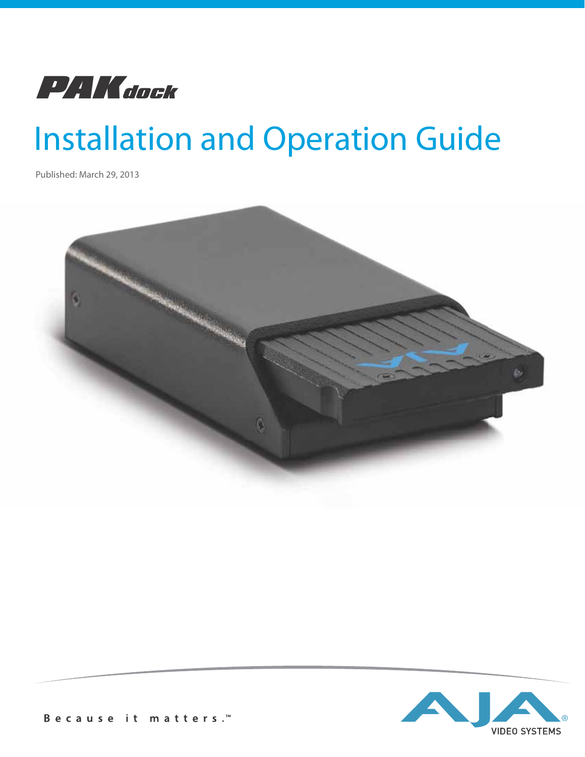

# Installation and Operation Guide

Published: March 29, 2013



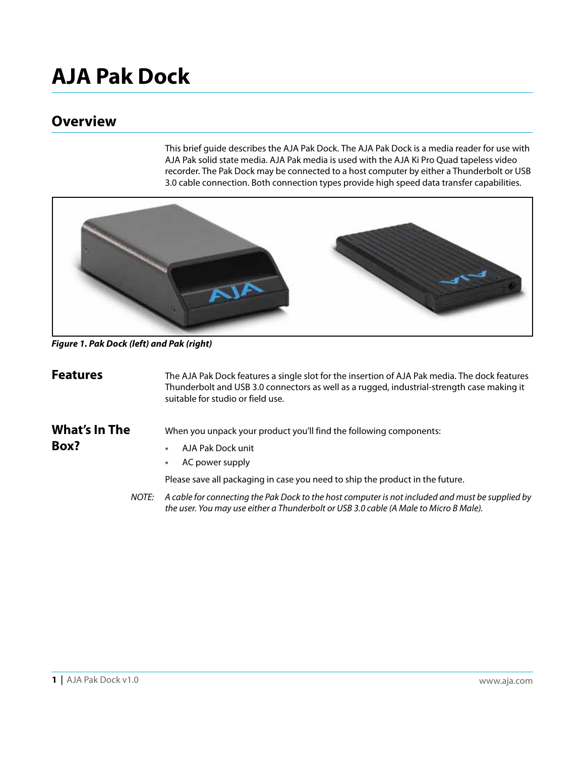## **AJA Pak Dock**

#### **Overview**

This brief guide describes the AJA Pak Dock. The AJA Pak Dock is a media reader for use with AJA Pak solid state media. AJA Pak media is used with the AJA Ki Pro Quad tapeless video recorder. The Pak Dock may be connected to a host computer by either a Thunderbolt or USB 3.0 cable connection. Both connection types provide high speed data transfer capabilities.



*Figure 1. Pak Dock (left) and Pak (right)*

| <b>Features</b>       | The AJA Pak Dock features a single slot for the insertion of AJA Pak media. The dock features<br>Thunderbolt and USB 3.0 connectors as well as a rugged, industrial-strength case making it<br>suitable for studio or field use. |  |
|-----------------------|----------------------------------------------------------------------------------------------------------------------------------------------------------------------------------------------------------------------------------|--|
| What's In The<br>Box? | When you unpack your product you'll find the following components:<br>AJA Pak Dock unit                                                                                                                                          |  |
|                       | AC power supply<br>$\bullet$                                                                                                                                                                                                     |  |
|                       | Please save all packaging in case you need to ship the product in the future.                                                                                                                                                    |  |
| NOTE:                 | A cable for connecting the Pak Dock to the host computer is not included and must be supplied by<br>the user. You may use either a Thunderbolt or USB 3.0 cable (A Male to Micro B Male).                                        |  |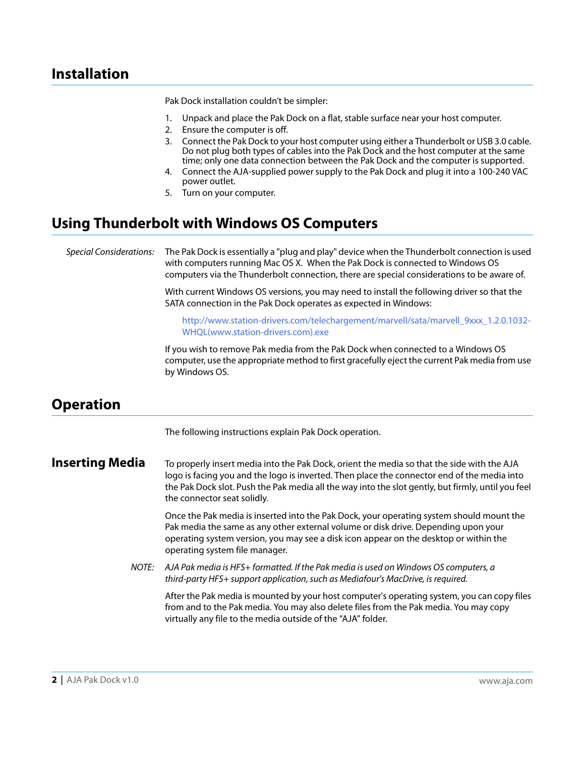#### **Installation**

Pak Dock installation couldn't be simpler:

- 1. Unpack and place the Pak Dock on a flat, stable surface near your host computer.
- 2. Ensure the computer is off.
- 3. Connect the Pak Dock to your host computer using either a Thunderbolt or USB 3.0 cable. Do not plug both types of cables into the Pak Dock and the host computer at the same time; only one data connection between the Pak Dock and the computer is supported.
- 4. Connect the AJA-supplied power supply to the Pak Dock and plug it into a 100-240 VAC power outlet.
- 5. Turn on your computer.

#### **Using Thunderbolt with Windows OS Computers**

Special Considerations: The Pak Dock is essentially a "plug and play" device when the Thunderbolt connection is used with computers running Mac OS X. When the Pak Dock is connected to Windows OS computers via the Thunderbolt connection, there are special considerations to be aware of.

> With current Windows OS versions, you may need to install the following driver so that the SATA connection in the Pak Dock operates as expected in Windows:

[http://www.station-drivers.com/telechargement/marvell/sata/marvell\\_9xxx\\_1.2.0.1032-](http://www.station-drivers.com/telechargement/marvell/sata/marvell_9xxx_1.2.0.1032-WHQL%28www.station-drivers.com%29.exe) [WHQL\(www.station-drivers.com\).exe](http://www.station-drivers.com/telechargement/marvell/sata/marvell_9xxx_1.2.0.1032-WHQL%28www.station-drivers.com%29.exe)

If you wish to remove Pak media from the Pak Dock when connected to a Windows OS computer, use the appropriate method to first gracefully eject the current Pak media from use by Windows OS.

#### **Operation**

The following instructions explain Pak Dock operation.

**Inserting Media** To properly insert media into the Pak Dock, orient the media so that the side with the AJA logo is facing you and the logo is inverted. Then place the connector end of the media into the Pak Dock slot. Push the Pak media all the way into the slot gently, but firmly, until you feel the connector seat solidly.

> Once the Pak media is inserted into the Pak Dock, your operating system should mount the Pak media the same as any other external volume or disk drive. Depending upon your operating system version, you may see a disk icon appear on the desktop or within the operating system file manager.

NOTE: AJA Pak media is HFS+ formatted. If the Pak media is used on Windows OS computers, a third-party HFS+ support application, such as Mediafour's MacDrive, is required.

After the Pak media is mounted by your host computer's operating system, you can copy files from and to the Pak media. You may also delete files from the Pak media. You may copy virtually any file to the media outside of the "AJA" folder.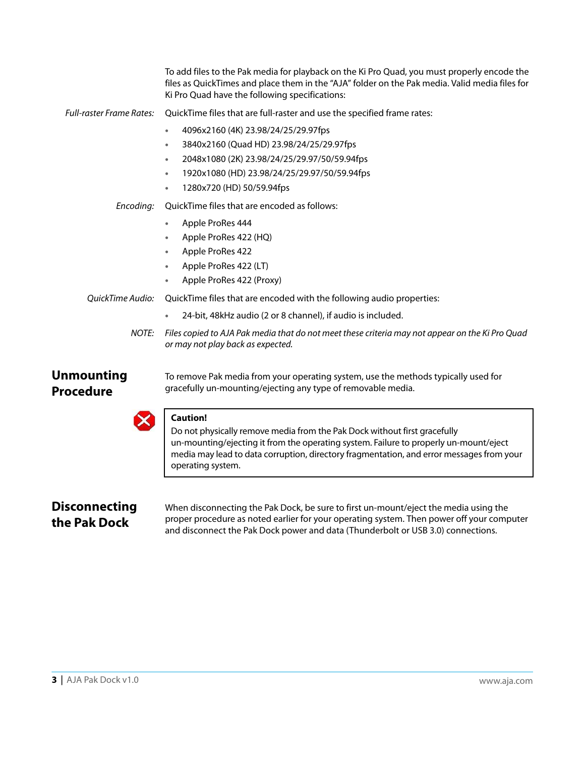|                                       | To add files to the Pak media for playback on the Ki Pro Quad, you must properly encode the<br>files as QuickTimes and place them in the "AJA" folder on the Pak media. Valid media files for<br>Ki Pro Quad have the following specifications:                                     |
|---------------------------------------|-------------------------------------------------------------------------------------------------------------------------------------------------------------------------------------------------------------------------------------------------------------------------------------|
| <b>Full-raster Frame Rates:</b>       | QuickTime files that are full-raster and use the specified frame rates:                                                                                                                                                                                                             |
|                                       | 4096x2160 (4K) 23.98/24/25/29.97fps<br>۰                                                                                                                                                                                                                                            |
|                                       | 3840x2160 (Quad HD) 23.98/24/25/29.97fps<br>$\bullet$                                                                                                                                                                                                                               |
|                                       | 2048x1080 (2K) 23.98/24/25/29.97/50/59.94fps<br>$\bullet$                                                                                                                                                                                                                           |
|                                       | 1920x1080 (HD) 23.98/24/25/29.97/50/59.94fps<br>$\bullet$                                                                                                                                                                                                                           |
|                                       | 1280x720 (HD) 50/59.94fps<br>$\bullet$                                                                                                                                                                                                                                              |
| Encoding:                             | QuickTime files that are encoded as follows:                                                                                                                                                                                                                                        |
|                                       | Apple ProRes 444<br>$\bullet$                                                                                                                                                                                                                                                       |
|                                       | Apple ProRes 422 (HQ)<br>$\bullet$                                                                                                                                                                                                                                                  |
|                                       | Apple ProRes 422<br>$\bullet$                                                                                                                                                                                                                                                       |
|                                       | Apple ProRes 422 (LT)                                                                                                                                                                                                                                                               |
|                                       | Apple ProRes 422 (Proxy)<br>$\bullet$                                                                                                                                                                                                                                               |
| QuickTime Audio:                      | QuickTime files that are encoded with the following audio properties:                                                                                                                                                                                                               |
|                                       | 24-bit, 48kHz audio (2 or 8 channel), if audio is included.                                                                                                                                                                                                                         |
| NOTE:                                 | Files copied to AJA Pak media that do not meet these criteria may not appear on the Ki Pro Quad<br>or may not play back as expected.                                                                                                                                                |
| <b>Unmounting</b><br><b>Procedure</b> | To remove Pak media from your operating system, use the methods typically used for<br>gracefully un-mounting/ejecting any type of removable media.                                                                                                                                  |
|                                       | <b>Caution!</b>                                                                                                                                                                                                                                                                     |
|                                       | Do not physically remove media from the Pak Dock without first gracefully<br>un-mounting/ejecting it from the operating system. Failure to properly un-mount/eject<br>media may lead to data corruption, directory fragmentation, and error messages from your<br>operating system. |
|                                       |                                                                                                                                                                                                                                                                                     |
| <b>Disconnecting</b>                  | When disconnecting the Pak Dock, be sure to first un-mount/eject the media using the                                                                                                                                                                                                |
| the Pak Dock                          | proper procedure as noted earlier for your operating system. Then power off your computer                                                                                                                                                                                           |
|                                       |                                                                                                                                                                                                                                                                                     |

proper procedure as noted earlier for your operating system. Then power off your computer and disconnect the Pak Dock power and data (Thunderbolt or USB 3.0) connections.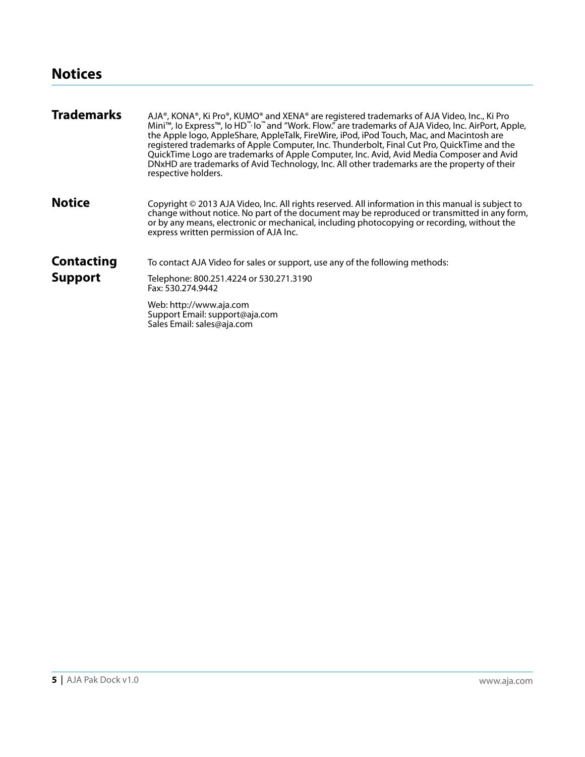| <b>Trademarks</b> | AJA®, KONA®, Ki Pro®, KUMO® and XENA® are registered trademarks of AJA Video, Inc., Ki Pro<br>Mini™, lo Express™, lo HD™ lo™ and "Work. Flow." are trademarks of AJA Video, Inc. AirPort, Apple,<br>the Apple logo, AppleShare, AppleTalk, FireWire, iPod, iPod Touch, Mac, and Macintosh are<br>registered trademarks of Apple Computer, Inc. Thunderbolt, Final Cut Pro, QuickTime and the<br>QuickTime Logo are trademarks of Apple Computer, Inc. Avid, Avid Media Composer and Avid<br>DNxHD are trademarks of Avid Technology, Inc. All other trademarks are the property of their<br>respective holders. |
|-------------------|-----------------------------------------------------------------------------------------------------------------------------------------------------------------------------------------------------------------------------------------------------------------------------------------------------------------------------------------------------------------------------------------------------------------------------------------------------------------------------------------------------------------------------------------------------------------------------------------------------------------|
| <b>Notice</b>     | Copyright $\odot$ 2013 AJA Video, Inc. All rights reserved. All information in this manual is subject to<br>change without notice. No part of the document may be reproduced or transmitted in any form,<br>or by any means, electronic or mechanical, including photocopying or recording, without the<br>express written permission of AJA Inc.                                                                                                                                                                                                                                                               |
| <b>Contacting</b> | To contact AJA Video for sales or support, use any of the following methods:                                                                                                                                                                                                                                                                                                                                                                                                                                                                                                                                    |
| <b>Support</b>    | Telephone: 800.251.4224 or 530.271.3190<br>Fax: 530.274.9442                                                                                                                                                                                                                                                                                                                                                                                                                                                                                                                                                    |
|                   | Web: http://www.aja.com<br>Support Email: support@aja.com<br>Sales Email: sales@aja.com                                                                                                                                                                                                                                                                                                                                                                                                                                                                                                                         |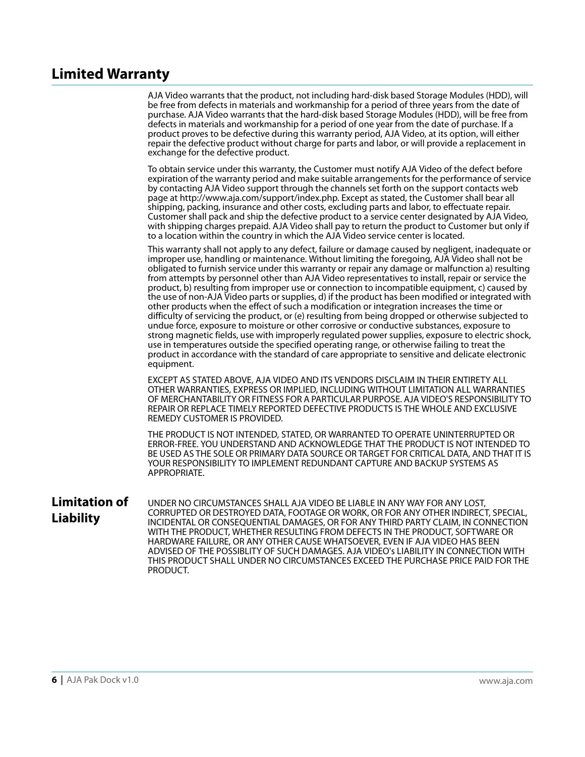#### **Limited Warranty**

AJA Video warrants that the product, not including hard-disk based Storage Modules (HDD), will be free from defects in materials and workmanship for a period of three years from the date of purchase. AJA Video warrants that the hard-disk based Storage Modules (HDD), will be free from defects in materials and workmanship for a period of one year from the date of purchase. If a product proves to be defective during this warranty period, AJA Video, at its option, will either repair the defective product without charge for parts and labor, or will provide a replacement in exchange for the defective product.

To obtain service under this warranty, the Customer must notify AJA Video of the defect before expiration of the warranty period and make suitable arrangements for the performance of service by contacting AJA Video support through the channels set forth on the support contacts web page at http://www.aja.com/support/index.php. Except as stated, the Customer shall bear all shipping, packing, insurance and other costs, excluding parts and labor, to effectuate repair. Customer shall pack and ship the defective product to a service center designated by AJA Video, with shipping charges prepaid. AJA Video shall pay to return the product to Customer but only if to a location within the country in which the AJA Video service center is located.

This warranty shall not apply to any defect, failure or damage caused by negligent, inadequate or improper use, handling or maintenance. Without limiting the foregoing, AJA Video shall not be obligated to furnish service under this warranty or repair any damage or malfunction a) resulting from attempts by personnel other than AJA Video representatives to install, repair or service the product, b) resulting from improper use or connection to incompatible equipment, c) caused by the use of non-AJA Video parts or supplies, d) if the product has been modified or integrated with other products when the effect of such a modification or integration increases the time or difficulty of servicing the product, or (e) resulting from being dropped or otherwise subjected to undue force, exposure to moisture or other corrosive or conductive substances, exposure to strong magnetic fields, use with improperly regulated power supplies, exposure to electric shock, use in temperatures outside the specified operating range, or otherwise failing to treat the product in accordance with the standard of care appropriate to sensitive and delicate electronic equipment.

EXCEPT AS STATED ABOVE, AJA VIDEO AND ITS VENDORS DISCLAIM IN THEIR ENTIRETY ALL OTHER WARRANTIES, EXPRESS OR IMPLIED, INCLUDING WITHOUT LIMITATION ALL WARRANTIES OF MERCHANTABILITY OR FITNESS FOR A PARTICULAR PURPOSE. AJA VIDEO'S RESPONSIBILITY TO REPAIR OR REPLACE TIMELY REPORTED DEFECTIVE PRODUCTS IS THE WHOLE AND EXCLUSIVE REMEDY CUSTOMER IS PROVIDED.

THE PRODUCT IS NOT INTENDED, STATED, OR WARRANTED TO OPERATE UNINTERRUPTED OR ERROR-FREE. YOU UNDERSTAND AND ACKNOWLEDGE THAT THE PRODUCT IS NOT INTENDED TO BE USED AS THE SOLE OR PRIMARY DATA SOURCE OR TARGET FOR CRITICAL DATA, AND THAT IT IS YOUR RESPONSIBILITY TO IMPLEMENT REDUNDANT CAPTURE AND BACKUP SYSTEMS AS APPROPRIATE.

**Limitation of Liability** UNDER NO CIRCUMSTANCES SHALL AJA VIDEO BE LIABLE IN ANY WAY FOR ANY LOST, CORRUPTED OR DESTROYED DATA, FOOTAGE OR WORK, OR FOR ANY OTHER INDIRECT, SPECIAL, INCIDENTAL OR CONSEQUENTIAL DAMAGES, OR FOR ANY THIRD PARTY CLAIM, IN CONNECTION WITH THE PRODUCT, WHETHER RESULTING FROM DEFECTS IN THE PRODUCT, SOFTWARE OR HARDWARE FAILURE, OR ANY OTHER CAUSE WHATSOEVER, EVEN IF AJA VIDEO HAS BEEN ADVISED OF THE POSSIBLITY OF SUCH DAMAGES. AJA VIDEO's LIABILITY IN CONNECTION WITH THIS PRODUCT SHALL UNDER NO CIRCUMSTANCES EXCEED THE PURCHASE PRICE PAID FOR THE PRODUCT.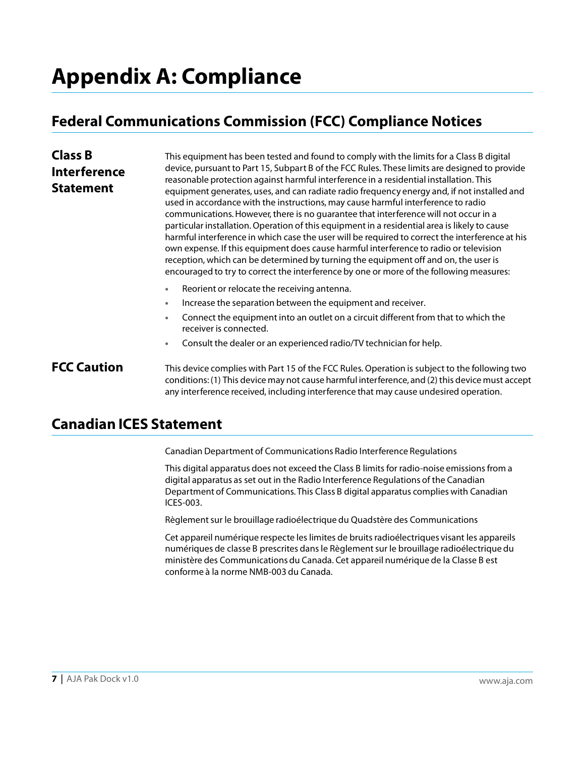## **Appendix A: Compliance**

### **Federal Communications Commission (FCC) Compliance Notices**

| <b>Class B</b><br><b>Interference</b><br><b>Statement</b> | This equipment has been tested and found to comply with the limits for a Class B digital<br>device, pursuant to Part 15, Subpart B of the FCC Rules. These limits are designed to provide<br>reasonable protection against harmful interference in a residential installation. This<br>equipment generates, uses, and can radiate radio frequency energy and, if not installed and<br>used in accordance with the instructions, may cause harmful interference to radio<br>communications. However, there is no quarantee that interference will not occur in a<br>particular installation. Operation of this equipment in a residential area is likely to cause<br>harmful interference in which case the user will be required to correct the interference at his<br>own expense. If this equipment does cause harmful interference to radio or television<br>reception, which can be determined by turning the equipment off and on, the user is<br>encouraged to try to correct the interference by one or more of the following measures: |
|-----------------------------------------------------------|------------------------------------------------------------------------------------------------------------------------------------------------------------------------------------------------------------------------------------------------------------------------------------------------------------------------------------------------------------------------------------------------------------------------------------------------------------------------------------------------------------------------------------------------------------------------------------------------------------------------------------------------------------------------------------------------------------------------------------------------------------------------------------------------------------------------------------------------------------------------------------------------------------------------------------------------------------------------------------------------------------------------------------------------|
|                                                           | Reorient or relocate the receiving antenna.<br>$\bullet$                                                                                                                                                                                                                                                                                                                                                                                                                                                                                                                                                                                                                                                                                                                                                                                                                                                                                                                                                                                       |
|                                                           | Increase the separation between the equipment and receiver.<br>٠                                                                                                                                                                                                                                                                                                                                                                                                                                                                                                                                                                                                                                                                                                                                                                                                                                                                                                                                                                               |
|                                                           | Connect the equipment into an outlet on a circuit different from that to which the<br>$\bullet$<br>receiver is connected.                                                                                                                                                                                                                                                                                                                                                                                                                                                                                                                                                                                                                                                                                                                                                                                                                                                                                                                      |
|                                                           | Consult the dealer or an experienced radio/TV technician for help.                                                                                                                                                                                                                                                                                                                                                                                                                                                                                                                                                                                                                                                                                                                                                                                                                                                                                                                                                                             |

**FCC Caution** This device complies with Part 15 of the FCC Rules. Operation is subject to the following two conditions: (1) This device may not cause harmful interference, and (2) this device must accept any interference received, including interference that may cause undesired operation.

#### **Canadian ICES Statement**

Canadian Department of Communications Radio Interference Regulations

This digital apparatus does not exceed the Class B limits for radio-noise emissions from a digital apparatus as set out in the Radio Interference Regulations of the Canadian Department of Communications. This Class B digital apparatus complies with Canadian ICES-003.

Règlement sur le brouillage radioélectrique du Quadstère des Communications

Cet appareil numérique respecte les limites de bruits radioélectriques visant les appareils numériques de classe B prescrites dans le Règlement sur le brouillage radioélectrique du ministère des Communications du Canada. Cet appareil numérique de la Classe B est conforme à la norme NMB-003 du Canada.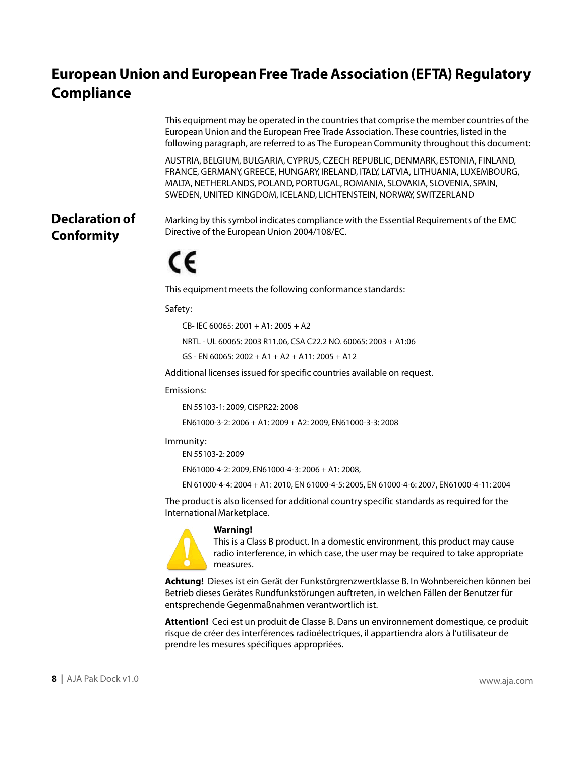#### **European Union and European Free Trade Association (EFTA) Regulatory Compliance**

|                                            | This equipment may be operated in the countries that comprise the member countries of the<br>European Union and the European Free Trade Association. These countries, listed in the<br>following paragraph, are referred to as The European Community throughout this document:                                       |
|--------------------------------------------|-----------------------------------------------------------------------------------------------------------------------------------------------------------------------------------------------------------------------------------------------------------------------------------------------------------------------|
|                                            | AUSTRIA, BELGIUM, BULGARIA, CYPRUS, CZECH REPUBLIC, DENMARK, ESTONIA, FINLAND,<br>FRANCE, GERMANY, GREECE, HUNGARY, IRELAND, ITALY, LATVIA, LITHUANIA, LUXEMBOURG,<br>MALTA, NETHERLANDS, POLAND, PORTUGAL, ROMANIA, SLOVAKIA, SLOVENIA, SPAIN,<br>SWEDEN, UNITED KINGDOM, ICELAND, LICHTENSTEIN, NORWAY, SWITZERLAND |
| <b>Declaration of</b><br><b>Conformity</b> | Marking by this symbol indicates compliance with the Essential Requirements of the EMC<br>Directive of the European Union 2004/108/EC.                                                                                                                                                                                |
|                                            | CE                                                                                                                                                                                                                                                                                                                    |
|                                            | This equipment meets the following conformance standards:                                                                                                                                                                                                                                                             |
|                                            | Safety:                                                                                                                                                                                                                                                                                                               |
|                                            | CB-IEC 60065: 2001 + A1: 2005 + A2                                                                                                                                                                                                                                                                                    |
|                                            | NRTL - UL 60065: 2003 R11.06, CSA C22.2 NO. 60065: 2003 + A1:06                                                                                                                                                                                                                                                       |

GS - EN 60065: 2002 + A1 + A2 + A11: 2005 + A12

Additional licenses issued for specific countries available on request.

Emissions:

EN 55103-1: 2009, CISPR22: 2008

EN61000-3-2: 2006 + A1: 2009 + A2: 2009, EN61000-3-3: 2008

Immunity:

EN 55103-2: 2009

EN61000-4-2: 2009, EN61000-4-3: 2006 + A1: 2008,

EN 61000-4-4: 2004 + A1: 2010, EN 61000-4-5: 2005, EN 61000-4-6: 2007, EN61000-4-11: 2004

The product is also licensed for additional country specific standards as required for the International Marketplace.



#### **Warning!**

This is a Class B product. In a domestic environment, this product may cause radio interference, in which case, the user may be required to take appropriate measures.

**Achtung!** Dieses ist ein Gerät der Funkstörgrenzwertklasse B. In Wohnbereichen können bei Betrieb dieses Gerätes Rundfunkstörungen auftreten, in welchen Fällen der Benutzer für entsprechende Gegenmaßnahmen verantwortlich ist.

**Attention!** Ceci est un produit de Classe B. Dans un environnement domestique, ce produit risque de créer des interférences radioélectriques, il appartiendra alors à l'utilisateur de prendre les mesures spécifiques appropriées.